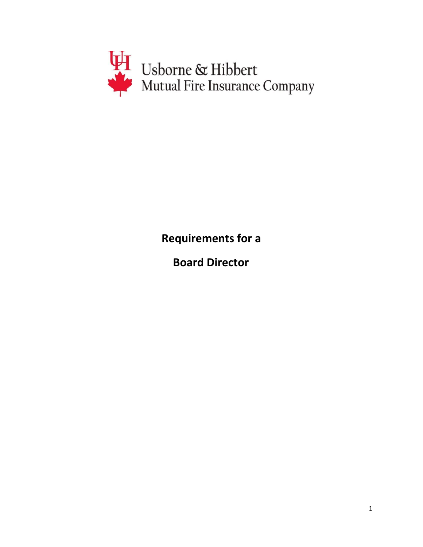

**Requirements for a**

**Board Director**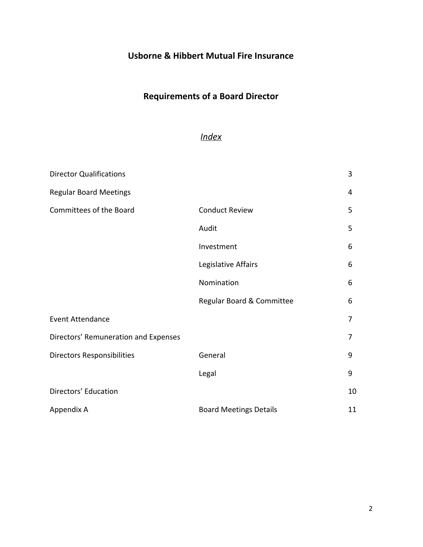## **Usborne & Hibbert Mutual Fire Insurance**

# **Requirements of a Board Director**

## *Index*

| <b>Director Qualifications</b>       |                               | 3  |
|--------------------------------------|-------------------------------|----|
| <b>Regular Board Meetings</b>        |                               | 4  |
| Committees of the Board              | <b>Conduct Review</b>         | 5  |
|                                      | Audit                         | 5  |
|                                      | Investment                    | 6  |
|                                      | Legislative Affairs           | 6  |
|                                      | Nomination                    | 6  |
|                                      | Regular Board & Committee     | 6  |
| <b>Event Attendance</b>              |                               | 7  |
| Directors' Remuneration and Expenses |                               | 7  |
| <b>Directors Responsibilities</b>    | General                       | 9  |
|                                      | Legal                         | 9  |
| Directors' Education                 |                               | 10 |
| Appendix A                           | <b>Board Meetings Details</b> | 11 |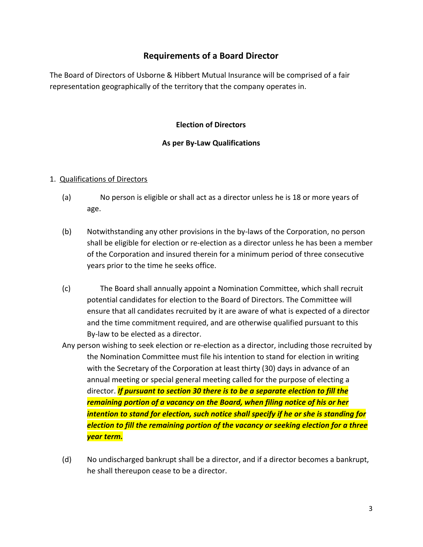## **Requirements of a Board Director**

The Board of Directors of Usborne & Hibbert Mutual Insurance will be comprised of a fair representation geographically of the territory that the company operates in.

#### **Election of Directors**

#### **As per By-Law Qualifications**

#### 1. Qualifications of Directors

- (a) No person is eligible or shall act as a director unless he is 18 or more years of age.
- (b) Notwithstanding any other provisions in the by-laws of the Corporation, no person shall be eligible for election or re-election as a director unless he has been a member of the Corporation and insured therein for a minimum period of three consecutive years prior to the time he seeks office.
- (c) The Board shall annually appoint a Nomination Committee, which shall recruit potential candidates for election to the Board of Directors. The Committee will ensure that all candidates recruited by it are aware of what is expected of a director and the time commitment required, and are otherwise qualified pursuant to this By-law to be elected as a director.
- Any person wishing to seek election or re-election as a director, including those recruited by the Nomination Committee must file his intention to stand for election in writing with the Secretary of the Corporation at least thirty (30) days in advance of an annual meeting or special general meeting called for the purpose of electing a director. *If pursuant to section 30 there is to be a separate election to fill the remaining portion of a vacancy on the Board, when filing notice of his or her intention to stand for election, such notice shall specify if he or she is standing for election to fill the remaining portion of the vacancy or seeking election for a three year term.*
- (d) No undischarged bankrupt shall be a director, and if a director becomes a bankrupt, he shall thereupon cease to be a director.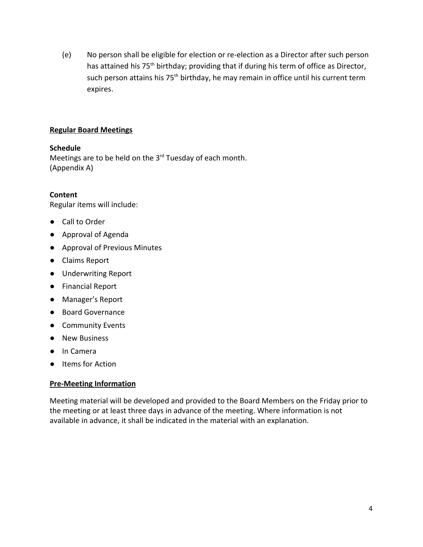(e) No person shall be eligible for election or re-election as a Director after such person has attained his 75<sup>th</sup> birthday; providing that if during his term of office as Director, such person attains his 75<sup>th</sup> birthday, he may remain in office until his current term expires.

#### **Regular Board Meetings**

#### **Schedule**

Meetings are to be held on the 3<sup>rd</sup> Tuesday of each month. (Appendix A)

#### **Content**

Regular items will include:

- Call to Order
- Approval of Agenda
- Approval of Previous Minutes
- Claims Report
- Underwriting Report
- Financial Report
- Manager's Report
- Board Governance
- Community Events
- New Business
- In Camera
- Items for Action

#### **Pre-Meeting Information**

Meeting material will be developed and provided to the Board Members on the Friday prior to the meeting or at least three days in advance of the meeting. Where information is not available in advance, it shall be indicated in the material with an explanation.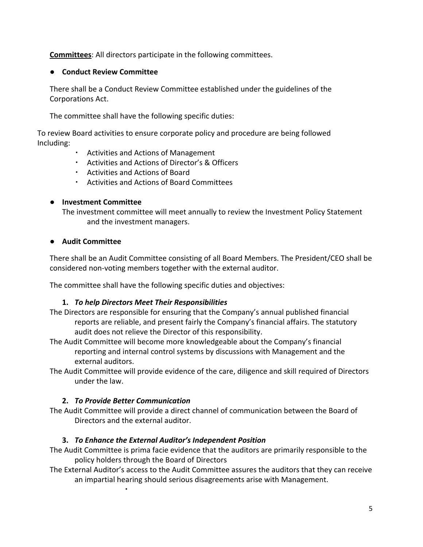**Committees**: All directors participate in the following committees.

### ● **Conduct Review Committee**

There shall be a Conduct Review Committee established under the guidelines of the Corporations Act.

The committee shall have the following specific duties:

To review Board activities to ensure corporate policy and procedure are being followed Including:

- Activities and Actions of Management
- Activities and Actions of Director's & Officers
- Activities and Actions of Board
- Activities and Actions of Board Committees

## **● Investment Committee**

The investment committee will meet annually to review the Investment Policy Statement and the investment managers.

## **● Audit Committee**

There shall be an Audit Committee consisting of all Board Members. The President/CEO shall be considered non-voting members together with the external auditor.

The committee shall have the following specific duties and objectives:

## **1.** *To help Directors Meet Their Responsibilities*

- The Directors are responsible for ensuring that the Company's annual published financial reports are reliable, and present fairly the Company's financial affairs. The statutory audit does not relieve the Director of this responsibility.
- The Audit Committee will become more knowledgeable about the Company's financial reporting and internal control systems by discussions with Management and the external auditors.
- The Audit Committee will provide evidence of the care, diligence and skill required of Directors under the law.

## **2.** *To Provide Better Communication*

▪

The Audit Committee will provide a direct channel of communication between the Board of Directors and the external auditor.

## **3.** *To Enhance the External Auditor's Independent Position*

- The Audit Committee is prima facie evidence that the auditors are primarily responsible to the policy holders through the Board of Directors
- The External Auditor's access to the Audit Committee assures the auditors that they can receive an impartial hearing should serious disagreements arise with Management.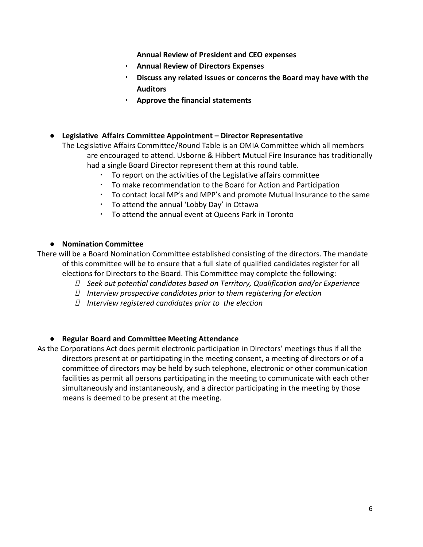**Annual Review of President and CEO expenses**

- **Annual Review of Directors Expenses**
- **Discuss any related issues or concerns the Board may have with the Auditors**
- **Approve the financial statements**
- **● Legislative Affairs Committee Appointment Director Representative**

The Legislative Affairs Committee/Round Table is an OMIA Committee which all members are encouraged to attend. Usborne & Hibbert Mutual Fire Insurance has traditionally had a single Board Director represent them at this round table.

- To report on the activities of the Legislative affairs committee
- To make recommendation to the Board for Action and Participation
- To contact local MP's and MPP's and promote Mutual Insurance to the same
- To attend the annual 'Lobby Day' in Ottawa
- To attend the annual event at Queens Park in Toronto

#### ● **Nomination Committee**

There will be a Board Nomination Committee established consisting of the directors. The mandate of this committee will be to ensure that a full slate of qualified candidates register for all elections for Directors to the Board. This Committee may complete the following:

- *Seek out potential candidates based on Territory, Qualification and/or Experience*
- *Interview prospective candidates prior to them registering for election*
- *Interview registered candidates prior to the election*

#### **● Regular Board and Committee Meeting Attendance**

As the Corporations Act does permit electronic participation in Directors' meetings thus if all the directors present at or participating in the meeting consent, a meeting of directors or of a committee of directors may be held by such telephone, electronic or other communication facilities as permit all persons participating in the meeting to communicate with each other simultaneously and instantaneously, and a director participating in the meeting by those means is deemed to be present at the meeting.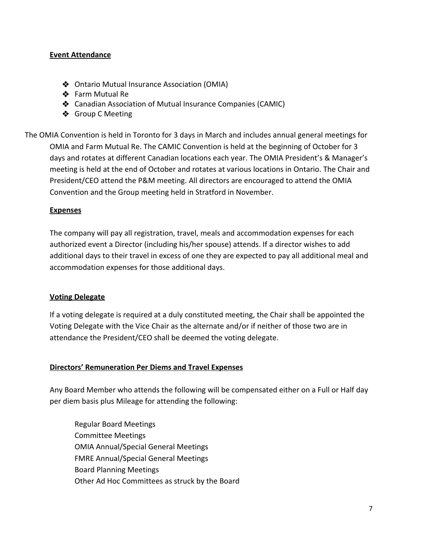#### **Event Attendance**

- ❖ Ontario Mutual Insurance Association (OMIA)
- ❖ Farm Mutual Re
- ❖ Canadian Association of Mutual Insurance Companies (CAMIC)
- ❖ Group C Meeting

The OMIA Convention is held in Toronto for 3 days in March and includes annual general meetings for OMIA and Farm Mutual Re. The CAMIC Convention is held at the beginning of October for 3 days and rotates at different Canadian locations each year. The OMIA President's & Manager's meeting is held at the end of October and rotates at various locations in Ontario. The Chair and President/CEO attend the P&M meeting. All directors are encouraged to attend the OMIA Convention and the Group meeting held in Stratford in November.

#### **Expenses**

The company will pay all registration, travel, meals and accommodation expenses for each authorized event a Director (including his/her spouse) attends. If a director wishes to add additional days to their travel in excess of one they are expected to pay all additional meal and accommodation expenses for those additional days.

#### **Voting Delegate**

If a voting delegate is required at a duly constituted meeting, the Chair shall be appointed the Voting Delegate with the Vice Chair as the alternate and/or if neither of those two are in attendance the President/CEO shall be deemed the voting delegate.

#### **Directors' Remuneration Per Diems and Travel Expenses**

Any Board Member who attends the following will be compensated either on a Full or Half day per diem basis plus Mileage for attending the following:

Regular Board Meetings Committee Meetings OMIA Annual/Special General Meetings FMRE Annual/Special General Meetings Board Planning Meetings Other Ad Hoc Committees as struck by the Board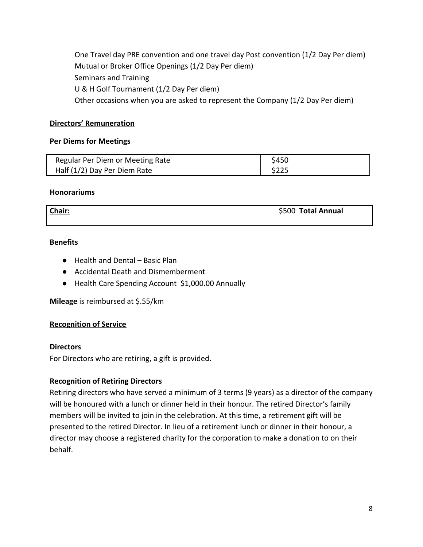One Travel day PRE convention and one travel day Post convention (1/2 Day Per diem) Mutual or Broker Office Openings (1/2 Day Per diem) Seminars and Training U & H Golf Tournament (1/2 Day Per diem) Other occasions when you are asked to represent the Company (1/2 Day Per diem)

#### **Directors' Remuneration**

#### **Per Diems for Meetings**

| Regular Per Diem or Meeting Rate | \$450 |
|----------------------------------|-------|
| Half (1/2) Day Per Diem Rate     | \$225 |

#### **Honorariums**

| Chair: | \$500 Total Annual |
|--------|--------------------|
|        |                    |

#### **Benefits**

- Health and Dental Basic Plan
- Accidental Death and Dismemberment
- Health Care Spending Account \$1,000.00 Annually

**Mileage** is reimbursed at \$.55/km

#### **Recognition of Service**

#### **Directors**

For Directors who are retiring, a gift is provided.

#### **Recognition of Retiring Directors**

Retiring directors who have served a minimum of 3 terms (9 years) as a director of the company will be honoured with a lunch or dinner held in their honour. The retired Director's family members will be invited to join in the celebration. At this time, a retirement gift will be presented to the retired Director. In lieu of a retirement lunch or dinner in their honour, a director may choose a registered charity for the corporation to make a donation to on their behalf.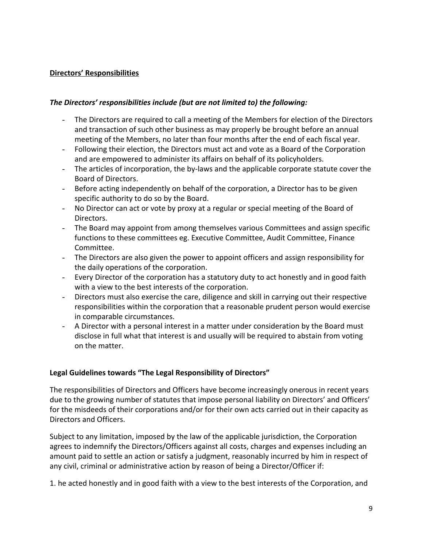#### **Directors' Responsibilities**

#### *The Directors' responsibilities include (but are not limited to) the following:*

- The Directors are required to call a meeting of the Members for election of the Directors and transaction of such other business as may properly be brought before an annual meeting of the Members, no later than four months after the end of each fiscal year.
- Following their election, the Directors must act and vote as a Board of the Corporation and are empowered to administer its affairs on behalf of its policyholders.
- The articles of incorporation, the by-laws and the applicable corporate statute cover the Board of Directors.
- Before acting independently on behalf of the corporation, a Director has to be given specific authority to do so by the Board.
- No Director can act or vote by proxy at a regular or special meeting of the Board of Directors.
- The Board may appoint from among themselves various Committees and assign specific functions to these committees eg. Executive Committee, Audit Committee, Finance Committee.
- The Directors are also given the power to appoint officers and assign responsibility for the daily operations of the corporation.
- Every Director of the corporation has a statutory duty to act honestly and in good faith with a view to the best interests of the corporation.
- Directors must also exercise the care, diligence and skill in carrying out their respective responsibilities within the corporation that a reasonable prudent person would exercise in comparable circumstances.
- A Director with a personal interest in a matter under consideration by the Board must disclose in full what that interest is and usually will be required to abstain from voting on the matter.

#### **Legal Guidelines towards "The Legal Responsibility of Directors"**

The responsibilities of Directors and Officers have become increasingly onerous in recent years due to the growing number of statutes that impose personal liability on Directors' and Officers' for the misdeeds of their corporations and/or for their own acts carried out in their capacity as Directors and Officers.

Subject to any limitation, imposed by the law of the applicable jurisdiction, the Corporation agrees to indemnify the Directors/Officers against all costs, charges and expenses including an amount paid to settle an action or satisfy a judgment, reasonably incurred by him in respect of any civil, criminal or administrative action by reason of being a Director/Officer if:

1. he acted honestly and in good faith with a view to the best interests of the Corporation, and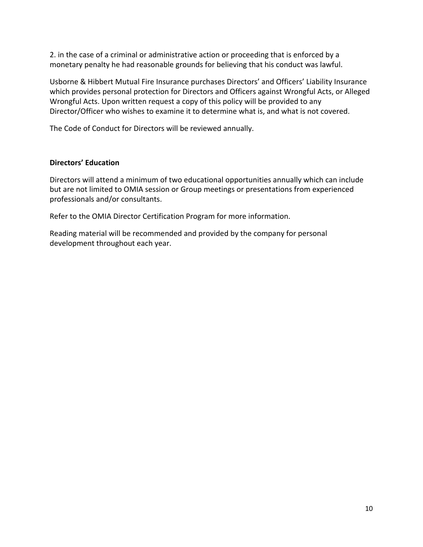2. in the case of a criminal or administrative action or proceeding that is enforced by a monetary penalty he had reasonable grounds for believing that his conduct was lawful.

Usborne & Hibbert Mutual Fire Insurance purchases Directors' and Officers' Liability Insurance which provides personal protection for Directors and Officers against Wrongful Acts, or Alleged Wrongful Acts. Upon written request a copy of this policy will be provided to any Director/Officer who wishes to examine it to determine what is, and what is not covered.

The Code of Conduct for Directors will be reviewed annually.

#### **Directors' Education**

Directors will attend a minimum of two educational opportunities annually which can include but are not limited to OMIA session or Group meetings or presentations from experienced professionals and/or consultants.

Refer to the OMIA Director Certification Program for more information.

Reading material will be recommended and provided by the company for personal development throughout each year.